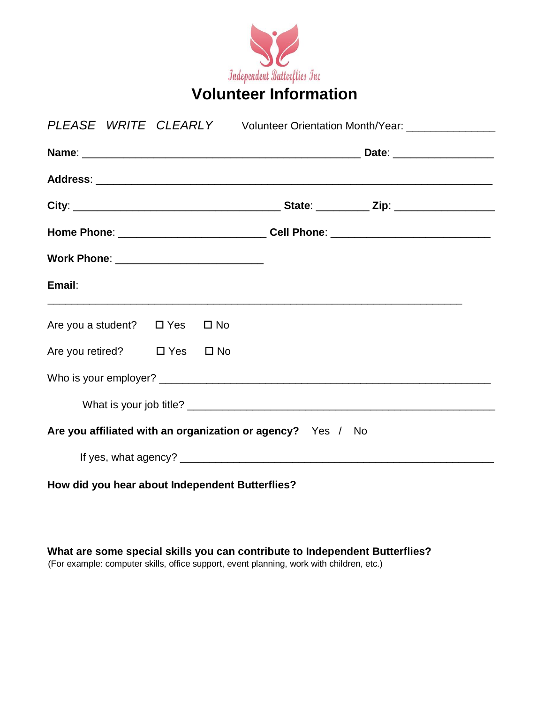

| PLEASE WRITE CLEARLY Volunteer Orientation Month/Year: _______________ |  |  |  |                                                                                  |  |
|------------------------------------------------------------------------|--|--|--|----------------------------------------------------------------------------------|--|
|                                                                        |  |  |  |                                                                                  |  |
|                                                                        |  |  |  |                                                                                  |  |
|                                                                        |  |  |  |                                                                                  |  |
|                                                                        |  |  |  | Home Phone: _________________________________Cell Phone: _______________________ |  |
| Work Phone: ___________________________                                |  |  |  |                                                                                  |  |
| Email:                                                                 |  |  |  |                                                                                  |  |
| Are you a student? $\Box$ Yes $\Box$ No                                |  |  |  |                                                                                  |  |
| Are you retired? □ Yes □ No                                            |  |  |  |                                                                                  |  |
|                                                                        |  |  |  |                                                                                  |  |
|                                                                        |  |  |  |                                                                                  |  |
| Are you affiliated with an organization or agency? Yes / No            |  |  |  |                                                                                  |  |
|                                                                        |  |  |  |                                                                                  |  |
| How did you hear about Independent Butterflies?                        |  |  |  |                                                                                  |  |

**What are some special skills you can contribute to Independent Butterflies?**  (For example: computer skills, office support, event planning, work with children, etc.)